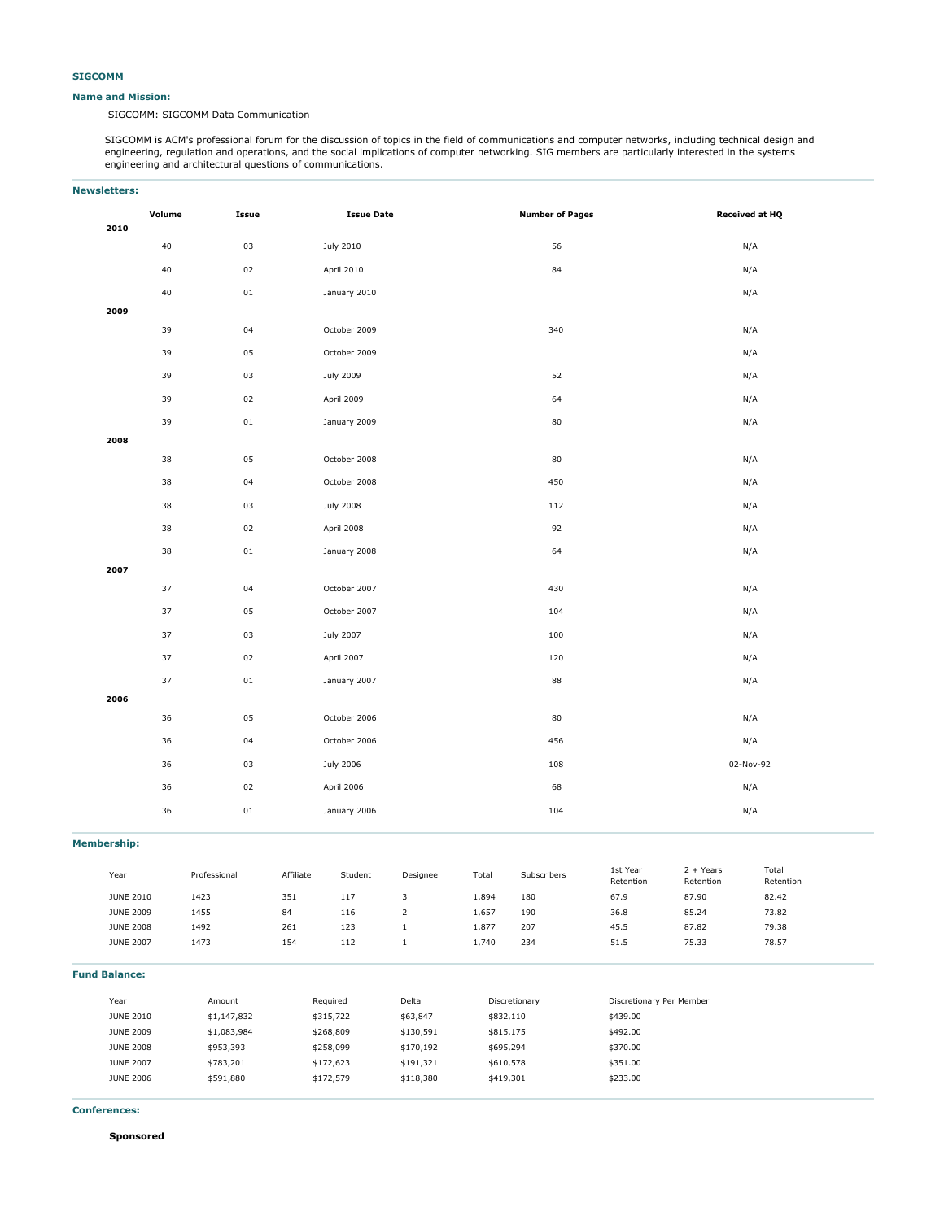## **Name and Mission:**

SIGCOMM: SIGCOMM Data Communication

SIGCOMM is ACM's professional forum for the discussion of topics in the field of communications and computer networks, including technical design and engineering, regulation and operations, and the social implications of computer networking. SIG members are particularly interested in the systems engineering and architectural questions of communications.

# **Newsletters:**

|      | Volume | Issue      | <b>Issue Date</b> | <b>Number of Pages</b> | <b>Received at HQ</b> |
|------|--------|------------|-------------------|------------------------|-----------------------|
| 2010 |        |            |                   |                        |                       |
|      | 40     | 03         | July 2010         | 56                     | N/A                   |
|      | $40\,$ | 02         | April 2010        | 84                     | N/A                   |
|      | 40     | ${\tt 01}$ | January 2010      |                        | N/A                   |
| 2009 |        |            |                   |                        |                       |
|      | 39     | 04         | October 2009      | 340                    | N/A                   |
|      | 39     | 05         | October 2009      |                        | N/A                   |
|      | 39     | 03         | July 2009         | 52                     | N/A                   |
|      | 39     | 02         | April 2009        | 64                     | N/A                   |
|      | 39     | 01         | January 2009      | 80                     | N/A                   |
| 2008 |        |            |                   |                        |                       |
|      | 38     | 05         | October 2008      | 80                     | N/A                   |
|      | 38     | 04         | October 2008      | 450                    | N/A                   |
|      | 38     | 03         | <b>July 2008</b>  | 112                    | N/A                   |
|      | 38     | 02         | April 2008        | 92                     | N/A                   |
|      | 38     | ${\bf 01}$ | January 2008      | 64                     | N/A                   |
| 2007 |        |            |                   |                        |                       |
|      | 37     | 04         | October 2007      | 430                    | N/A                   |
|      | 37     | 05         | October 2007      | 104                    | N/A                   |
|      | 37     | 03         | July 2007         | 100                    | N/A                   |
|      | 37     | 02         | April 2007        | 120                    | N/A                   |
|      | 37     | ${\tt 01}$ | January 2007      | 88                     | N/A                   |
| 2006 |        |            |                   |                        |                       |
|      | 36     | 05         | October 2006      | 80                     | N/A                   |
|      | 36     | 04         | October 2006      | 456                    | N/A                   |
|      | 36     | 03         | July 2006         | 108                    | 02-Nov-92             |
|      | 36     | 02         | April 2006        | 68                     | N/A                   |
|      | 36     | ${\tt 01}$ | January 2006      | 104                    | N/A                   |
|      |        |            |                   |                        |                       |

**Membership:**

| Year             | Professional | Affiliate | Student | Designee | Total | Subscribers | 1st Year<br>Retention | $2 + Years$<br>Retention | Total<br>Retention |
|------------------|--------------|-----------|---------|----------|-------|-------------|-----------------------|--------------------------|--------------------|
| <b>JUNE 2010</b> | 1423         | 351       | 117     |          | 1,894 | 180         | 67.9                  | 87.90                    | 82.42              |
| <b>JUNE 2009</b> | 1455         | 84        | 116     |          | 1,657 | 190         | 36.8                  | 85.24                    | 73.82              |
| <b>JUNE 2008</b> | 1492         | 261       | 123     |          | 1,877 | 207         | 45.5                  | 87.82                    | 79.38              |
| <b>JUNE 2007</b> | 1473         | 154       | 112     |          | 1,740 | 234         | 51.5                  | 75.33                    | 78.57              |
|                  |              |           |         |          |       |             |                       |                          |                    |

| <b>Fund Balance:</b> |  |  |  |
|----------------------|--|--|--|
|----------------------|--|--|--|

| Year             | Amount      | Required  | Delta     | Discretionary | Discretionary Per Member |
|------------------|-------------|-----------|-----------|---------------|--------------------------|
| <b>JUNE 2010</b> | \$1,147,832 | \$315,722 | \$63,847  | \$832,110     | \$439.00                 |
| <b>JUNE 2009</b> | \$1,083,984 | \$268,809 | \$130,591 | \$815,175     | \$492.00                 |
| <b>JUNE 2008</b> | \$953,393   | \$258,099 | \$170,192 | \$695,294     | \$370.00                 |
| <b>JUNE 2007</b> | \$783,201   | \$172,623 | \$191,321 | \$610,578     | \$351.00                 |
| <b>JUNE 2006</b> | \$591,880   | \$172,579 | \$118,380 | \$419,301     | \$233.00                 |
|                  |             |           |           |               |                          |

**Conferences:**

**Sponsored**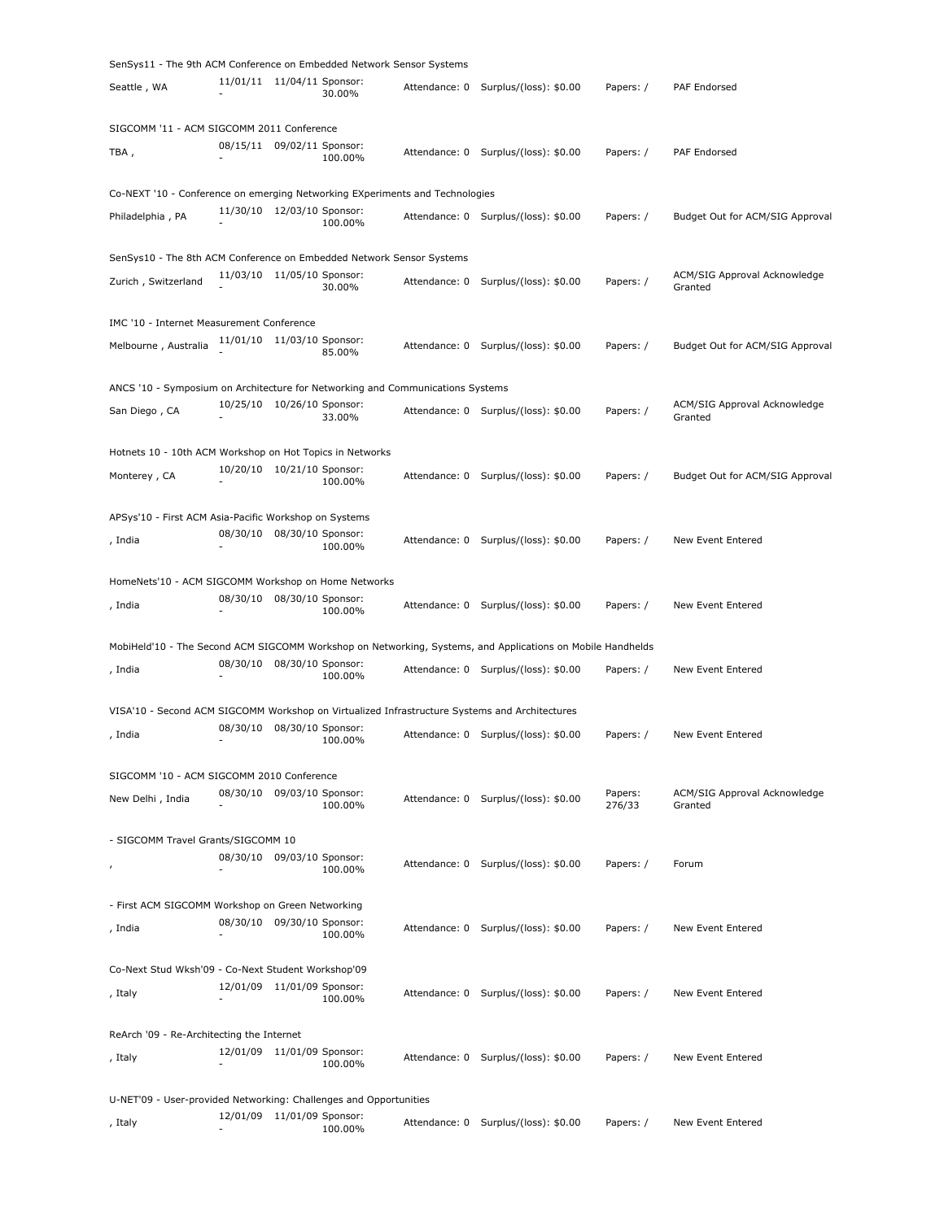| SenSys11 - The 9th ACM Conference on Embedded Network Sensor Systems           |          |                              |                              |               |                                                                                                            |                   |                                         |
|--------------------------------------------------------------------------------|----------|------------------------------|------------------------------|---------------|------------------------------------------------------------------------------------------------------------|-------------------|-----------------------------------------|
| Seattle , WA                                                                   |          | 11/01/11 11/04/11 Sponsor:   | 30.00%                       | Attendance: 0 | Surplus/(loss): \$0.00                                                                                     | Papers: /         | PAF Endorsed                            |
| SIGCOMM '11 - ACM SIGCOMM 2011 Conference                                      |          |                              |                              |               |                                                                                                            |                   |                                         |
| TBA ,                                                                          |          | 08/15/11 09/02/11 Sponsor:   | 100.00%                      | Attendance: 0 | Surplus/(loss): \$0.00                                                                                     | Papers: /         | PAF Endorsed                            |
| Co-NEXT '10 - Conference on emerging Networking EXperiments and Technologies   |          |                              |                              |               |                                                                                                            |                   |                                         |
| Philadelphia, PA                                                               |          | 11/30/10 12/03/10 Sponsor:   | 100.00%                      |               | Attendance: 0 Surplus/(loss): \$0.00                                                                       | Papers: /         | Budget Out for ACM/SIG Approval         |
| SenSys10 - The 8th ACM Conference on Embedded Network Sensor Systems           |          |                              |                              |               |                                                                                                            |                   |                                         |
| Zurich, Switzerland                                                            | 11/03/10 | 11/05/10 Sponsor:            | 30.00%                       | Attendance: 0 | Surplus/(loss): \$0.00                                                                                     | Papers: /         | ACM/SIG Approval Acknowledge<br>Granted |
| IMC '10 - Internet Measurement Conference                                      |          |                              |                              |               |                                                                                                            |                   |                                         |
| Melbourne, Australia                                                           |          | 11/01/10 11/03/10 Sponsor:   | 85.00%                       | Attendance: 0 | Surplus/(loss): \$0.00                                                                                     | Papers: /         | Budget Out for ACM/SIG Approval         |
| ANCS '10 - Symposium on Architecture for Networking and Communications Systems |          |                              |                              |               |                                                                                                            |                   |                                         |
| San Diego , CA                                                                 |          | 10/25/10 10/26/10 Sponsor:   | 33.00%                       |               | Attendance: 0 Surplus/(loss): \$0.00                                                                       | Papers: /         | ACM/SIG Approval Acknowledge<br>Granted |
| Hotnets 10 - 10th ACM Workshop on Hot Topics in Networks                       |          |                              |                              |               |                                                                                                            |                   |                                         |
| Monterey, CA                                                                   |          | 10/20/10  10/21/10  Sponsor: | 100.00%                      | Attendance: 0 | Surplus/(loss): \$0.00                                                                                     | Papers: /         | Budget Out for ACM/SIG Approval         |
| APSys'10 - First ACM Asia-Pacific Workshop on Systems                          |          |                              |                              |               |                                                                                                            |                   |                                         |
| , India                                                                        | 08/30/10 |                              | 08/30/10 Sponsor:<br>100.00% | Attendance: 0 | Surplus/(loss): \$0.00                                                                                     | Papers: /         | New Event Entered                       |
| HomeNets'10 - ACM SIGCOMM Workshop on Home Networks                            |          |                              |                              |               |                                                                                                            |                   |                                         |
| , India                                                                        | 08/30/10 |                              | 08/30/10 Sponsor:<br>100.00% | Attendance: 0 | Surplus/(loss): \$0.00                                                                                     | Papers: /         | New Event Entered                       |
|                                                                                |          |                              |                              |               | MobiHeld'10 - The Second ACM SIGCOMM Workshop on Networking, Systems, and Applications on Mobile Handhelds |                   |                                         |
| , India                                                                        | 08/30/10 |                              | 08/30/10 Sponsor:<br>100.00% |               | Attendance: 0 Surplus/(loss): \$0.00                                                                       | Papers: /         | New Event Entered                       |
|                                                                                |          |                              |                              |               | VISA'10 - Second ACM SIGCOMM Workshop on Virtualized Infrastructure Systems and Architectures              |                   |                                         |
| , India                                                                        |          | 08/30/10 08/30/10 Sponsor:   | 100.00%                      |               | Attendance: 0 Surplus/(loss): \$0.00                                                                       | Papers: /         | New Event Entered                       |
| SIGCOMM '10 - ACM SIGCOMM 2010 Conference                                      |          |                              |                              |               |                                                                                                            |                   |                                         |
| New Delhi , India                                                              |          | 08/30/10 09/03/10 Sponsor:   | 100.00%                      |               | Attendance: 0 Surplus/(loss): \$0.00                                                                       | Papers:<br>276/33 | ACM/SIG Approval Acknowledge<br>Granted |
| - SIGCOMM Travel Grants/SIGCOMM 10                                             |          |                              |                              |               |                                                                                                            |                   |                                         |
| ı                                                                              |          | 08/30/10 09/03/10 Sponsor:   | 100.00%                      | Attendance: 0 | Surplus/(loss): \$0.00                                                                                     | Papers: /         | Forum                                   |
| - First ACM SIGCOMM Workshop on Green Networking                               |          |                              |                              |               |                                                                                                            |                   |                                         |
| , India                                                                        |          | 08/30/10 09/30/10 Sponsor:   | 100.00%                      | Attendance: 0 | Surplus/(loss): \$0.00                                                                                     | Papers: /         | New Event Entered                       |
|                                                                                |          |                              |                              |               |                                                                                                            |                   |                                         |
| Co-Next Stud Wksh'09 - Co-Next Student Workshop'09                             |          |                              |                              |               |                                                                                                            |                   |                                         |
| , Italy                                                                        |          | 12/01/09 11/01/09 Sponsor:   | 100.00%                      | Attendance: 0 | Surplus/(loss): \$0.00                                                                                     | Papers: /         | New Event Entered                       |
| ReArch '09 - Re-Architecting the Internet                                      |          |                              |                              |               |                                                                                                            |                   |                                         |
| , Italy                                                                        |          | 12/01/09 11/01/09 Sponsor:   | 100.00%                      | Attendance: 0 | Surplus/(loss): \$0.00                                                                                     | Papers: /         | New Event Entered                       |
| U-NET'09 - User-provided Networking: Challenges and Opportunities              |          |                              |                              |               |                                                                                                            |                   |                                         |
| , Italy                                                                        | 12/01/09 |                              | 11/01/09 Sponsor:<br>100.00% | Attendance: 0 | Surplus/(loss): \$0.00                                                                                     | Papers: /         | New Event Entered                       |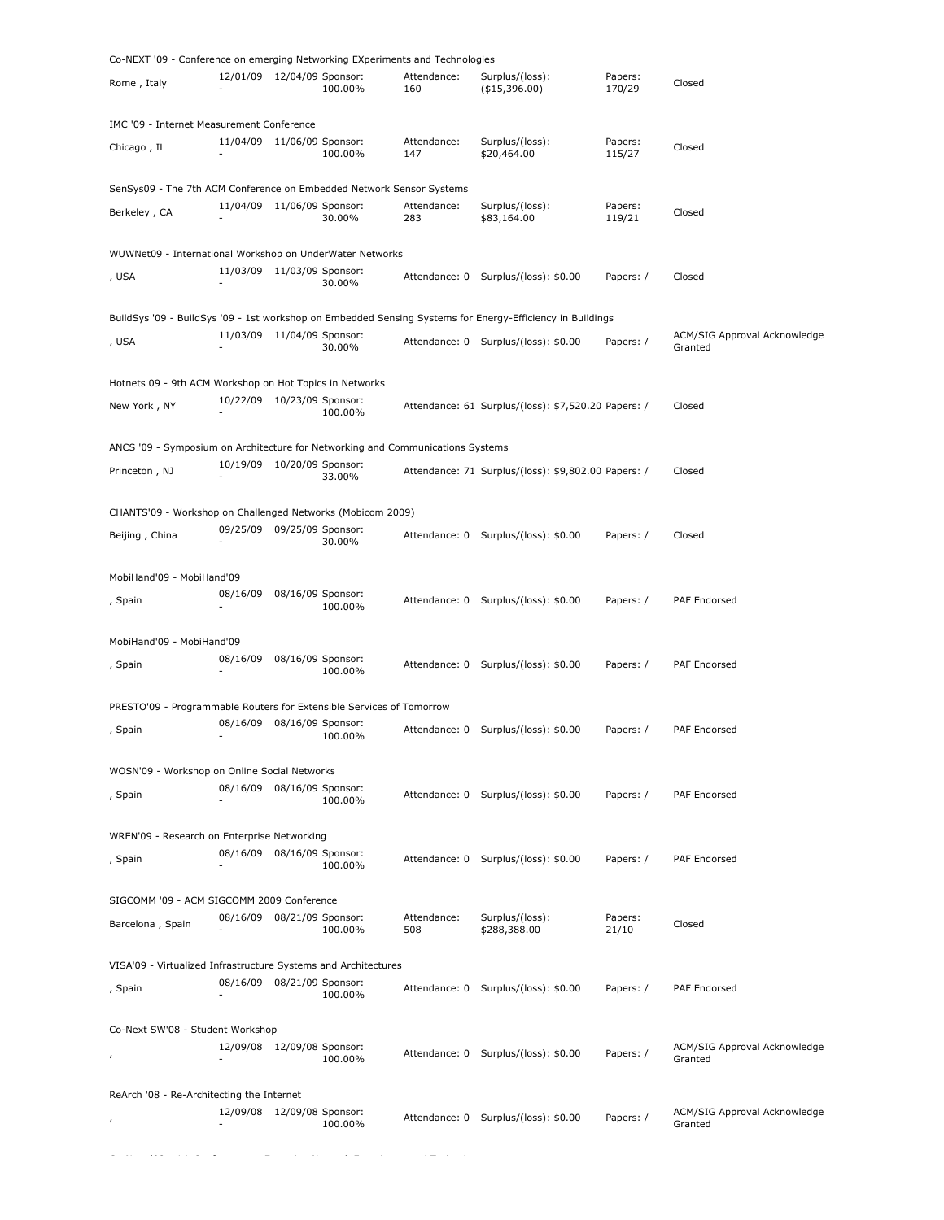| Co-NEXT '09 - Conference on emerging Networking EXperiments and Technologies                              |                            |                   |         |             |                                                     |           |                              |
|-----------------------------------------------------------------------------------------------------------|----------------------------|-------------------|---------|-------------|-----------------------------------------------------|-----------|------------------------------|
|                                                                                                           | 12/01/09 12/04/09 Sponsor: |                   |         | Attendance: | Surplus/(loss):                                     | Papers:   |                              |
| Rome, Italy                                                                                               |                            |                   | 100.00% | 160         | (\$15,396.00)                                       | 170/29    | Closed                       |
| IMC '09 - Internet Measurement Conference                                                                 |                            |                   |         |             |                                                     |           |                              |
|                                                                                                           | 11/04/09 11/06/09 Sponsor: |                   |         | Attendance: | Surplus/(loss):                                     | Papers:   |                              |
| Chicago, IL                                                                                               |                            |                   | 100.00% | 147         | \$20,464.00                                         | 115/27    | Closed                       |
| SenSys09 - The 7th ACM Conference on Embedded Network Sensor Systems                                      |                            |                   |         |             |                                                     |           |                              |
| Berkeley, CA                                                                                              | 11/04/09 11/06/09 Sponsor: |                   |         | Attendance: | Surplus/(loss):                                     | Papers:   | Closed                       |
|                                                                                                           |                            |                   | 30.00%  | 283         | \$83,164.00                                         | 119/21    |                              |
| WUWNet09 - International Workshop on UnderWater Networks                                                  |                            |                   |         |             |                                                     |           |                              |
| , USA                                                                                                     | 11/03/09 11/03/09 Sponsor: |                   |         |             |                                                     | Papers: / | Closed                       |
|                                                                                                           |                            |                   | 30.00%  |             | Attendance: 0 Surplus/(loss): \$0.00                |           |                              |
| BuildSys '09 - BuildSys '09 - 1st workshop on Embedded Sensing Systems for Energy-Efficiency in Buildings |                            |                   |         |             |                                                     |           |                              |
|                                                                                                           | 11/03/09 11/04/09 Sponsor: |                   |         |             |                                                     | Papers: / | ACM/SIG Approval Acknowledge |
| , USA                                                                                                     |                            |                   | 30.00%  |             | Attendance: 0 Surplus/(loss): \$0.00                |           | Granted                      |
| Hotnets 09 - 9th ACM Workshop on Hot Topics in Networks                                                   |                            |                   |         |             |                                                     |           |                              |
|                                                                                                           | 10/22/09 10/23/09 Sponsor: |                   |         |             |                                                     |           |                              |
| New York, NY                                                                                              |                            |                   | 100.00% |             | Attendance: 61 Surplus/(loss): \$7,520.20 Papers: / |           | Closed                       |
| ANCS '09 - Symposium on Architecture for Networking and Communications Systems                            |                            |                   |         |             |                                                     |           |                              |
|                                                                                                           | 10/19/09 10/20/09 Sponsor: |                   |         |             |                                                     |           |                              |
| Princeton, NJ                                                                                             |                            |                   | 33.00%  |             | Attendance: 71 Surplus/(loss): \$9,802.00 Papers: / |           | Closed                       |
| CHANTS'09 - Workshop on Challenged Networks (Mobicom 2009)                                                |                            |                   |         |             |                                                     |           |                              |
|                                                                                                           | 09/25/09 09/25/09 Sponsor: |                   |         |             |                                                     |           |                              |
| Beijing, China                                                                                            |                            |                   | 30.00%  |             | Attendance: 0 Surplus/(loss): \$0.00                | Papers: / | Closed                       |
| MobiHand'09 - MobiHand'09                                                                                 |                            |                   |         |             |                                                     |           |                              |
|                                                                                                           | 08/16/09                   | 08/16/09 Sponsor: |         |             |                                                     |           |                              |
| , Spain                                                                                                   |                            |                   | 100.00% |             | Attendance: 0 Surplus/(loss): \$0.00                | Papers: / | PAF Endorsed                 |
|                                                                                                           |                            |                   |         |             |                                                     |           |                              |
| MobiHand'09 - MobiHand'09                                                                                 |                            | 08/16/09 Sponsor: |         |             |                                                     |           |                              |
| , Spain                                                                                                   | 08/16/09                   |                   | 100.00% |             | Attendance: 0 Surplus/(loss): \$0.00                | Papers: / | PAF Endorsed                 |
| PRESTO'09 - Programmable Routers for Extensible Services of Tomorrow                                      |                            |                   |         |             |                                                     |           |                              |
|                                                                                                           | 08/16/09 08/16/09 Sponsor: |                   |         |             |                                                     |           |                              |
| Spain                                                                                                     |                            |                   | 100.00% |             | Attendance: 0 Surplus/(loss): \$0.00                | Papers: / | PAF Endorsed                 |
| WOSN'09 - Workshop on Online Social Networks                                                              |                            |                   |         |             |                                                     |           |                              |
|                                                                                                           | 08/16/09 08/16/09 Sponsor: |                   |         |             |                                                     |           |                              |
| , Spain                                                                                                   |                            |                   | 100.00% |             | Attendance: 0 Surplus/(loss): \$0.00                | Papers: / | PAF Endorsed                 |
| WREN'09 - Research on Enterprise Networking                                                               |                            |                   |         |             |                                                     |           |                              |
| , Spain                                                                                                   | 08/16/09 08/16/09 Sponsor: |                   |         |             | Attendance: 0 Surplus/(loss): \$0.00                | Papers: / | PAF Endorsed                 |
|                                                                                                           |                            |                   | 100.00% |             |                                                     |           |                              |
| SIGCOMM '09 - ACM SIGCOMM 2009 Conference                                                                 |                            |                   |         |             |                                                     |           |                              |
|                                                                                                           | 08/16/09 08/21/09 Sponsor: |                   |         | Attendance: | Surplus/(loss):                                     | Papers:   |                              |
| Barcelona, Spain                                                                                          |                            |                   | 100.00% | 508         | \$288,388.00                                        | 21/10     | Closed                       |
| VISA'09 - Virtualized Infrastructure Systems and Architectures                                            |                            |                   |         |             |                                                     |           |                              |
|                                                                                                           | 08/16/09 08/21/09 Sponsor: |                   |         |             |                                                     |           |                              |
| , Spain                                                                                                   |                            |                   | 100.00% |             | Attendance: 0 Surplus/(loss): \$0.00                | Papers: / | PAF Endorsed                 |
| Co-Next SW'08 - Student Workshop                                                                          |                            |                   |         |             |                                                     |           |                              |
|                                                                                                           | 12/09/08 12/09/08 Sponsor: |                   |         |             |                                                     |           | ACM/SIG Approval Acknowledge |
|                                                                                                           |                            |                   | 100.00% |             | Attendance: 0 Surplus/(loss): \$0.00                | Papers: / | Granted                      |
| ReArch '08 - Re-Architecting the Internet                                                                 |                            |                   |         |             |                                                     |           |                              |
|                                                                                                           | 12/09/08 12/09/08 Sponsor: |                   |         |             |                                                     |           | ACM/SIG Approval Acknowledge |
|                                                                                                           |                            |                   | 100.00% |             | Attendance: 0 Surplus/(loss): \$0.00                | Papers: / | Granted                      |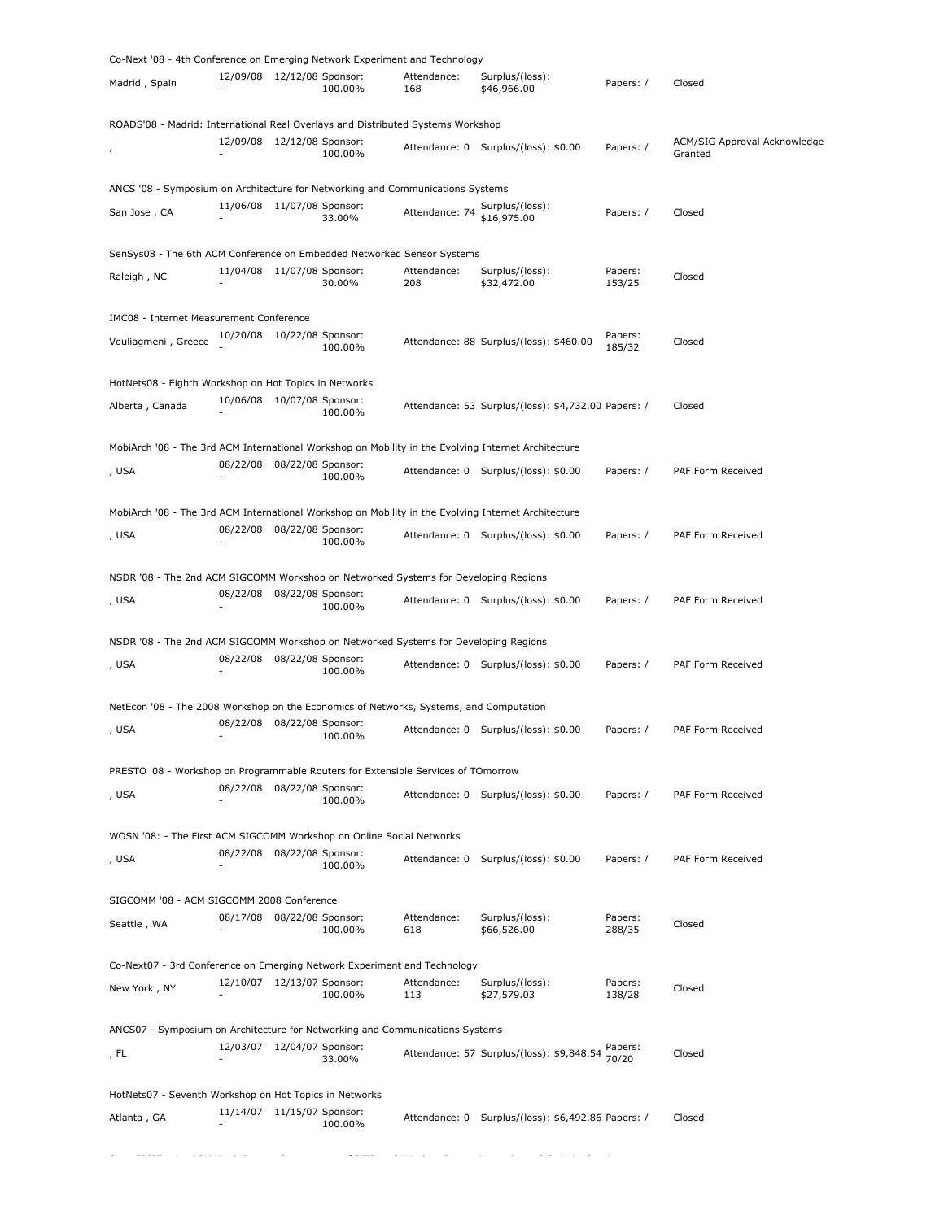| Co-Next '08 - 4th Conference on Emerging Network Experiment and Technology                          |                              |                   |         |                    |                                                     |                   |                                         |
|-----------------------------------------------------------------------------------------------------|------------------------------|-------------------|---------|--------------------|-----------------------------------------------------|-------------------|-----------------------------------------|
| Madrid, Spain                                                                                       | 12/09/08 12/12/08 Sponsor:   |                   | 100.00% | Attendance:<br>168 | Surplus/(loss):<br>\$46,966.00                      | Papers: /         | Closed                                  |
| ROADS'08 - Madrid: International Real Overlays and Distributed Systems Workshop                     |                              |                   |         |                    |                                                     |                   |                                         |
|                                                                                                     | 12/09/08  12/12/08  Sponsor: |                   | 100.00% |                    | Attendance: 0 Surplus/(loss): \$0.00                | Papers: /         | ACM/SIG Approval Acknowledge<br>Granted |
| ANCS '08 - Symposium on Architecture for Networking and Communications Systems                      |                              |                   |         |                    |                                                     |                   |                                         |
| San Jose, CA                                                                                        | 11/06/08 11/07/08 Sponsor:   |                   | 33.00%  | Attendance: 74     | Surplus/(loss):<br>\$16,975.00                      | Papers: /         | Closed                                  |
| SenSys08 - The 6th ACM Conference on Embedded Networked Sensor Systems                              |                              |                   |         |                    |                                                     |                   |                                         |
| Raleigh, NC                                                                                         | 11/04/08 11/07/08 Sponsor:   |                   | 30.00%  | Attendance:<br>208 | Surplus/(loss):<br>\$32,472.00                      | Papers:<br>153/25 | Closed                                  |
| IMC08 - Internet Measurement Conference                                                             |                              |                   |         |                    |                                                     |                   |                                         |
| Vouliagmeni, Greece                                                                                 | 10/20/08 10/22/08 Sponsor:   |                   | 100.00% |                    | Attendance: 88 Surplus/(loss): \$460.00             | Papers:<br>185/32 | Closed                                  |
| HotNets08 - Eighth Workshop on Hot Topics in Networks                                               |                              |                   |         |                    |                                                     |                   |                                         |
| Alberta, Canada                                                                                     | 10/06/08 10/07/08 Sponsor:   |                   | 100.00% |                    | Attendance: 53 Surplus/(loss): \$4,732.00 Papers: / |                   | Closed                                  |
| MobiArch '08 - The 3rd ACM International Workshop on Mobility in the Evolving Internet Architecture |                              |                   |         |                    |                                                     |                   |                                         |
| , USA                                                                                               | 08/22/08 08/22/08 Sponsor:   |                   | 100.00% |                    | Attendance: 0 Surplus/(loss): \$0.00                | Papers: /         | PAF Form Received                       |
|                                                                                                     |                              |                   |         |                    |                                                     |                   |                                         |
| MobiArch '08 - The 3rd ACM International Workshop on Mobility in the Evolving Internet Architecture | 08/22/08 08/22/08 Sponsor:   |                   |         |                    |                                                     |                   |                                         |
| , USA                                                                                               |                              |                   | 100.00% |                    | Attendance: 0 Surplus/(loss): \$0.00                | Papers: /         | PAF Form Received                       |
| NSDR '08 - The 2nd ACM SIGCOMM Workshop on Networked Systems for Developing Regions                 |                              |                   |         |                    |                                                     |                   |                                         |
| , USA                                                                                               | 08/22/08                     | 08/22/08 Sponsor: | 100.00% |                    | Attendance: 0 Surplus/(loss): \$0.00                | Papers: /         | PAF Form Received                       |
| NSDR '08 - The 2nd ACM SIGCOMM Workshop on Networked Systems for Developing Regions                 |                              |                   |         |                    |                                                     |                   |                                         |
| , USA                                                                                               | 08/22/08                     | 08/22/08 Sponsor: | 100.00% |                    | Attendance: 0 Surplus/(loss): \$0.00                | Papers: /         | PAF Form Received                       |
| NetEcon '08 - The 2008 Workshop on the Economics of Networks, Systems, and Computation              |                              |                   |         |                    |                                                     |                   |                                         |
|                                                                                                     | 08/22/08 08/22/08 Sponsor:   |                   |         |                    |                                                     |                   |                                         |
| , USA                                                                                               |                              |                   | 100.00% |                    | Attendance: 0 Surplus/(loss): \$0.00                | Papers: /         | PAF Form Received                       |
| PRESTO '08 - Workshop on Programmable Routers for Extensible Services of TOmorrow                   |                              |                   |         |                    |                                                     |                   |                                         |
| , USA                                                                                               | 08/22/08 08/22/08 Sponsor:   |                   | 100.00% |                    | Attendance: 0 Surplus/(loss): \$0.00                | Papers: /         | PAF Form Received                       |
| WOSN '08: - The First ACM SIGCOMM Workshop on Online Social Networks                                |                              |                   |         |                    |                                                     |                   |                                         |
| , USA                                                                                               | 08/22/08 08/22/08 Sponsor:   |                   | 100.00% | Attendance: 0      | Surplus/(loss): \$0.00                              | Papers: /         | PAF Form Received                       |
| SIGCOMM '08 - ACM SIGCOMM 2008 Conference                                                           |                              |                   |         |                    |                                                     |                   |                                         |
| Seattle, WA                                                                                         | 08/17/08 08/22/08 Sponsor:   |                   | 100.00% | Attendance:<br>618 | Surplus/(loss):<br>\$66,526.00                      | Papers:<br>288/35 | Closed                                  |
|                                                                                                     |                              |                   |         |                    |                                                     |                   |                                         |
| Co-Next07 - 3rd Conference on Emerging Network Experiment and Technology                            |                              |                   |         |                    |                                                     |                   |                                         |
| New York, NY                                                                                        | 12/10/07  12/13/07  Sponsor: |                   | 100.00% | Attendance:<br>113 | Surplus/(loss):<br>\$27,579.03                      | Papers:<br>138/28 | Closed                                  |
| ANCS07 - Symposium on Architecture for Networking and Communications Systems                        |                              |                   |         |                    |                                                     |                   |                                         |
| , FL                                                                                                | 12/03/07 12/04/07 Sponsor:   |                   | 33.00%  |                    | Attendance: 57 Surplus/(loss): \$9,848.54           | Papers:<br>70/20  | Closed                                  |
| HotNets07 - Seventh Workshop on Hot Topics in Networks                                              |                              |                   |         |                    |                                                     |                   |                                         |
| Atlanta, GA                                                                                         | 11/14/07 11/15/07 Sponsor:   |                   |         | Attendance: 0      | Surplus/(loss): \$6,492.86 Papers: /                |                   | Closed                                  |
|                                                                                                     |                              |                   | 100.00% |                    |                                                     |                   |                                         |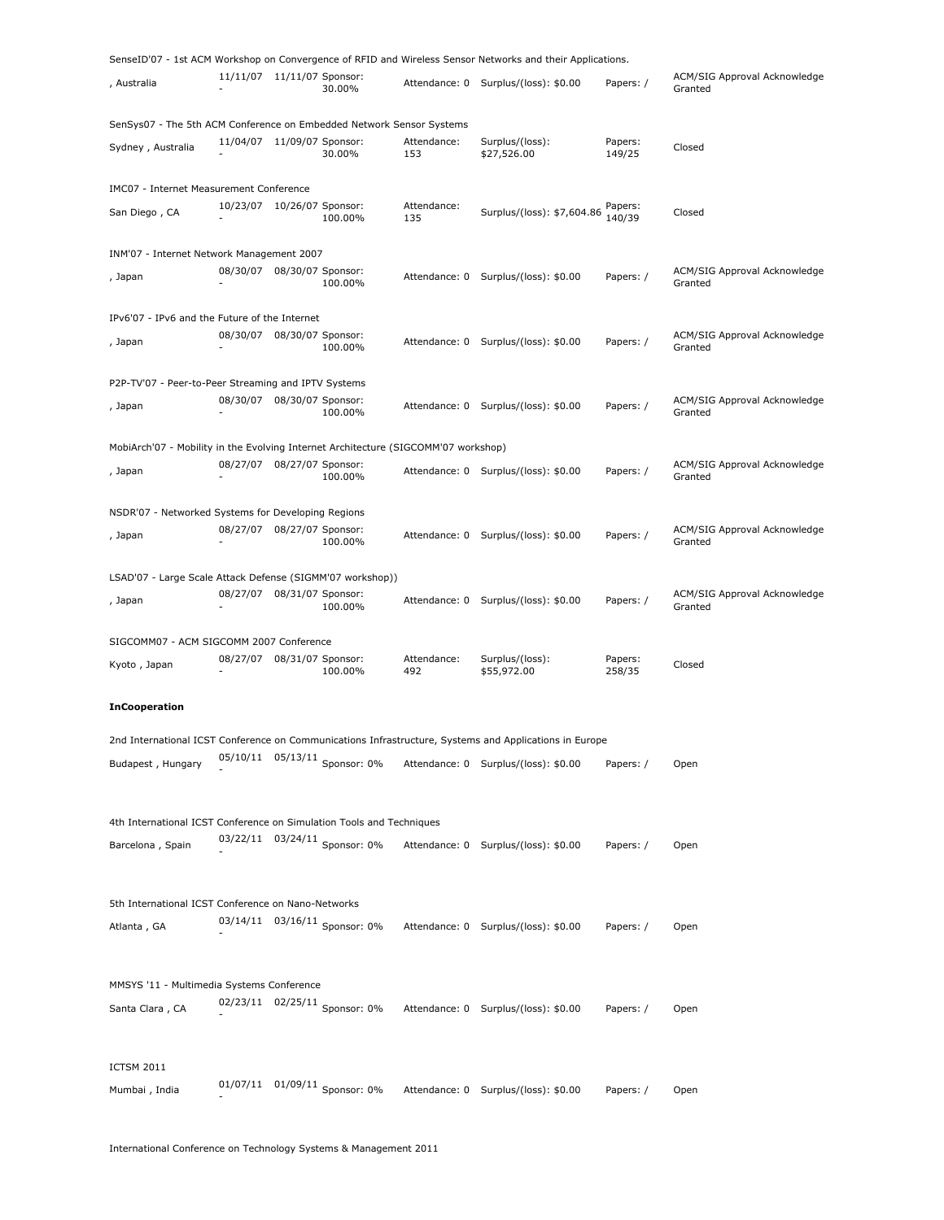|                                                                                    |                            |  |                                 |                    | SenseID'07 - 1st ACM Workshop on Convergence of RFID and Wireless Sensor Networks and their Applications. |                   |                                         |  |  |  |
|------------------------------------------------------------------------------------|----------------------------|--|---------------------------------|--------------------|-----------------------------------------------------------------------------------------------------------|-------------------|-----------------------------------------|--|--|--|
| , Australia                                                                        | 11/11/07 11/11/07 Sponsor: |  | 30.00%                          | Attendance: 0      | Surplus/(loss): \$0.00                                                                                    | Papers: /         | ACM/SIG Approval Acknowledge<br>Granted |  |  |  |
| SenSys07 - The 5th ACM Conference on Embedded Network Sensor Systems               |                            |  |                                 |                    |                                                                                                           |                   |                                         |  |  |  |
| Sydney, Australia                                                                  | 11/04/07 11/09/07 Sponsor: |  | 30.00%                          | Attendance:<br>153 | Surplus/(loss):<br>\$27,526.00                                                                            | Papers:<br>149/25 | Closed                                  |  |  |  |
| IMC07 - Internet Measurement Conference                                            |                            |  |                                 |                    |                                                                                                           |                   |                                         |  |  |  |
| San Diego, CA                                                                      | 10/23/07 10/26/07 Sponsor: |  | 100.00%                         | Attendance:<br>135 | Surplus/(loss): \$7,604.86                                                                                | Papers:<br>140/39 | Closed                                  |  |  |  |
| INM'07 - Internet Network Management 2007                                          |                            |  |                                 |                    |                                                                                                           |                   |                                         |  |  |  |
| , Japan                                                                            | 08/30/07 08/30/07 Sponsor: |  | 100.00%                         | Attendance: 0      | Surplus/(loss): \$0.00                                                                                    | Papers: /         | ACM/SIG Approval Acknowledge<br>Granted |  |  |  |
| IPv6'07 - IPv6 and the Future of the Internet                                      |                            |  |                                 |                    |                                                                                                           |                   |                                         |  |  |  |
| , Japan                                                                            | 08/30/07 08/30/07 Sponsor: |  | 100.00%                         | Attendance: 0      | Surplus/(loss): \$0.00                                                                                    | Papers: /         | ACM/SIG Approval Acknowledge<br>Granted |  |  |  |
| P2P-TV'07 - Peer-to-Peer Streaming and IPTV Systems                                |                            |  |                                 |                    |                                                                                                           |                   |                                         |  |  |  |
| , Japan                                                                            | 08/30/07 08/30/07 Sponsor: |  | 100.00%                         |                    | Attendance: 0 Surplus/(loss): \$0.00                                                                      | Papers: /         | ACM/SIG Approval Acknowledge<br>Granted |  |  |  |
| MobiArch'07 - Mobility in the Evolving Internet Architecture (SIGCOMM'07 workshop) |                            |  |                                 |                    |                                                                                                           |                   |                                         |  |  |  |
| , Japan                                                                            | 08/27/07 08/27/07 Sponsor: |  | 100.00%                         |                    | Attendance: 0 Surplus/(loss): \$0.00                                                                      | Papers: /         | ACM/SIG Approval Acknowledge<br>Granted |  |  |  |
| NSDR'07 - Networked Systems for Developing Regions                                 |                            |  |                                 |                    |                                                                                                           |                   |                                         |  |  |  |
| , Japan                                                                            | 08/27/07 08/27/07 Sponsor: |  | 100.00%                         | Attendance: 0      | Surplus/(loss): \$0.00                                                                                    | Papers: /         | ACM/SIG Approval Acknowledge<br>Granted |  |  |  |
| LSAD'07 - Large Scale Attack Defense (SIGMM'07 workshop))                          |                            |  |                                 |                    |                                                                                                           |                   |                                         |  |  |  |
| , Japan                                                                            | 08/27/07 08/31/07 Sponsor: |  | 100.00%                         | Attendance: 0      | Surplus/(loss): \$0.00                                                                                    | Papers: /         | ACM/SIG Approval Acknowledge<br>Granted |  |  |  |
| SIGCOMM07 - ACM SIGCOMM 2007 Conference                                            |                            |  |                                 |                    |                                                                                                           |                   |                                         |  |  |  |
| Kyoto, Japan                                                                       | 08/27/07 08/31/07 Sponsor: |  | 100.00%                         | Attendance:<br>492 | Surplus/(loss):<br>\$55,972.00                                                                            | Papers:<br>258/35 | Closed                                  |  |  |  |
| <b>InCooperation</b>                                                               |                            |  |                                 |                    |                                                                                                           |                   |                                         |  |  |  |
|                                                                                    |                            |  |                                 |                    | 2nd International ICST Conference on Communications Infrastructure, Systems and Applications in Europe    |                   |                                         |  |  |  |
| Budapest, Hungary                                                                  |                            |  | 05/10/11  05/13/11  Sponsor: 0% |                    | Attendance: 0 Surplus/(loss): \$0.00                                                                      | Papers: /         | Open                                    |  |  |  |
| 4th International ICST Conference on Simulation Tools and Techniques               |                            |  |                                 |                    |                                                                                                           |                   |                                         |  |  |  |
| Barcelona, Spain                                                                   |                            |  | 03/22/11 03/24/11 Sponsor: 0%   |                    | Attendance: 0 Surplus/(loss): \$0.00                                                                      | Papers: /         | Open                                    |  |  |  |
|                                                                                    |                            |  |                                 |                    |                                                                                                           |                   |                                         |  |  |  |
| 5th International ICST Conference on Nano-Networks                                 |                            |  |                                 |                    |                                                                                                           |                   |                                         |  |  |  |
| Atlanta, GA                                                                        |                            |  | 03/14/11  03/16/11  Sponsor: 0% |                    | Attendance: 0 Surplus/(loss): \$0.00                                                                      | Papers: /         | Open                                    |  |  |  |
|                                                                                    |                            |  |                                 |                    |                                                                                                           |                   |                                         |  |  |  |
| MMSYS '11 - Multimedia Systems Conference                                          |                            |  |                                 |                    |                                                                                                           |                   |                                         |  |  |  |
| Santa Clara, CA                                                                    |                            |  | 02/23/11 02/25/11 Sponsor: 0%   |                    | Attendance: 0 Surplus/(loss): \$0.00                                                                      | Papers: /         | Open                                    |  |  |  |
|                                                                                    |                            |  |                                 |                    |                                                                                                           |                   |                                         |  |  |  |
| <b>ICTSM 2011</b>                                                                  |                            |  |                                 |                    |                                                                                                           |                   |                                         |  |  |  |
| Mumbai, India                                                                      |                            |  | 01/07/11 01/09/11 Sponsor: 0%   |                    | Attendance: 0 Surplus/(loss): \$0.00                                                                      | Papers: /         | Open                                    |  |  |  |
|                                                                                    |                            |  |                                 |                    |                                                                                                           |                   |                                         |  |  |  |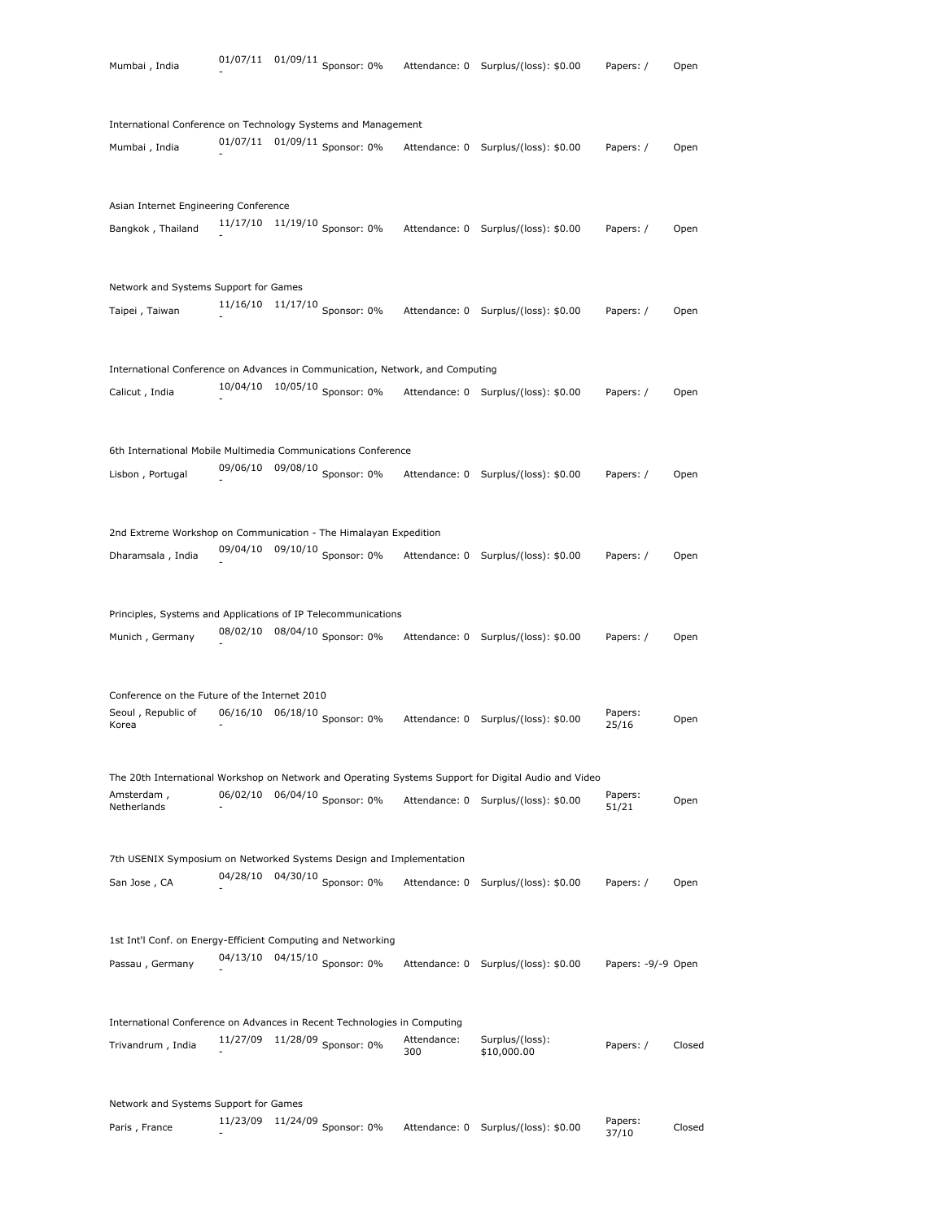| Mumbai, India                                                                 |          | 01/07/11 01/09/11 Sponsor: 0% |             | Attendance: 0 Surplus/(loss): \$0.00                                                                 | Papers: /          | Open   |
|-------------------------------------------------------------------------------|----------|-------------------------------|-------------|------------------------------------------------------------------------------------------------------|--------------------|--------|
|                                                                               |          |                               |             |                                                                                                      |                    |        |
| International Conference on Technology Systems and Management                 |          | 01/07/11 01/09/11 Sponsor: 0% |             |                                                                                                      |                    |        |
| Mumbai, India                                                                 |          |                               |             | Attendance: 0 Surplus/(loss): \$0.00                                                                 | Papers: /          | Open   |
| Asian Internet Engineering Conference                                         |          |                               |             |                                                                                                      |                    |        |
| Bangkok, Thailand                                                             | 11/17/10 | $11/19/10$ Sponsor: 0%        |             | Attendance: 0 Surplus/(loss): \$0.00                                                                 | Papers: /          | Open   |
|                                                                               |          |                               |             |                                                                                                      |                    |        |
| Network and Systems Support for Games                                         |          |                               |             |                                                                                                      |                    |        |
| Taipei, Taiwan                                                                | 11/16/10 | $11/17/10$ Sponsor: 0%        |             | Attendance: 0 Surplus/(loss): \$0.00                                                                 | Papers: /          | Open   |
|                                                                               |          |                               |             |                                                                                                      |                    |        |
| International Conference on Advances in Communication, Network, and Computing |          |                               |             |                                                                                                      |                    |        |
| Calicut, India                                                                | 10/04/10 | 10/05/10 Sponsor: 0%          |             | Attendance: 0 Surplus/(loss): \$0.00                                                                 | Papers: /          | Open   |
|                                                                               |          |                               |             |                                                                                                      |                    |        |
| 6th International Mobile Multimedia Communications Conference                 |          |                               |             |                                                                                                      |                    |        |
| Lisbon, Portugal                                                              | 09/06/10 | 09/08/10 Sponsor: 0%          |             | Attendance: 0 Surplus/(loss): \$0.00                                                                 | Papers: /          | Open   |
|                                                                               |          |                               |             |                                                                                                      |                    |        |
| 2nd Extreme Workshop on Communication - The Himalayan Expedition              |          |                               |             |                                                                                                      |                    |        |
| Dharamsala, India                                                             | 09/04/10 | 09/10/10 Sponsor: $0\%$       |             | Attendance: 0 Surplus/(loss): \$0.00                                                                 | Papers: /          | Open   |
|                                                                               |          |                               |             |                                                                                                      |                    |        |
| Principles, Systems and Applications of IP Telecommunications                 |          |                               |             |                                                                                                      |                    |        |
| Munich, Germany                                                               | 08/02/10 | 08/04/10 Sponsor: 0%          |             | Attendance: 0 Surplus/(loss): \$0.00                                                                 | Papers: /          | Open   |
|                                                                               |          |                               |             |                                                                                                      |                    |        |
| Conference on the Future of the Internet 2010                                 |          |                               |             |                                                                                                      |                    |        |
| Seoul, Republic of                                                            | 06/16/10 | 06/18/10 Sponsor: $0\%$       |             |                                                                                                      | Papers:            |        |
| Korea                                                                         |          |                               |             | Attendance: 0 Surplus/(loss): \$0.00                                                                 | 25/16              | Open   |
|                                                                               |          |                               |             | The 20th International Workshop on Network and Operating Systems Support for Digital Audio and Video |                    |        |
| Amsterdam,                                                                    | 06/02/10 | 06/04/10 Sponsor: $0\%$       |             |                                                                                                      | Papers:            |        |
| Netherlands                                                                   |          |                               |             | Attendance: 0 Surplus/(loss): \$0.00                                                                 | 51/21              | Open   |
|                                                                               |          |                               |             |                                                                                                      |                    |        |
| 7th USENIX Symposium on Networked Systems Design and Implementation           | 04/28/10 | 04/30/10 Sponsor: 0%          |             |                                                                                                      |                    |        |
| San Jose, CA                                                                  |          |                               |             | Attendance: 0 Surplus/(loss): \$0.00                                                                 | Papers: /          | Open   |
|                                                                               |          |                               |             |                                                                                                      |                    |        |
| 1st Int'l Conf. on Energy-Efficient Computing and Networking                  | 04/13/10 | 04/15/10 Sponsor: $0\%$       |             |                                                                                                      |                    |        |
| Passau, Germany                                                               |          |                               |             | Attendance: 0 Surplus/(loss): \$0.00                                                                 | Papers: -9/-9 Open |        |
|                                                                               |          |                               |             |                                                                                                      |                    |        |
| International Conference on Advances in Recent Technologies in Computing      |          | 11/27/09 11/28/09 Sponsor: 0% | Attendance: | Surplus/(loss):                                                                                      |                    |        |
| Trivandrum, India                                                             |          |                               | 300         | \$10,000.00                                                                                          | Papers: /          | Closed |
|                                                                               |          |                               |             |                                                                                                      |                    |        |
| Network and Systems Support for Games                                         | 11/23/09 |                               |             |                                                                                                      | Papers:            |        |
| Paris, France                                                                 |          | $11/24/09$ Sponsor: 0%        |             | Attendance: 0 Surplus/(loss): \$0.00                                                                 | 37/10              | Closed |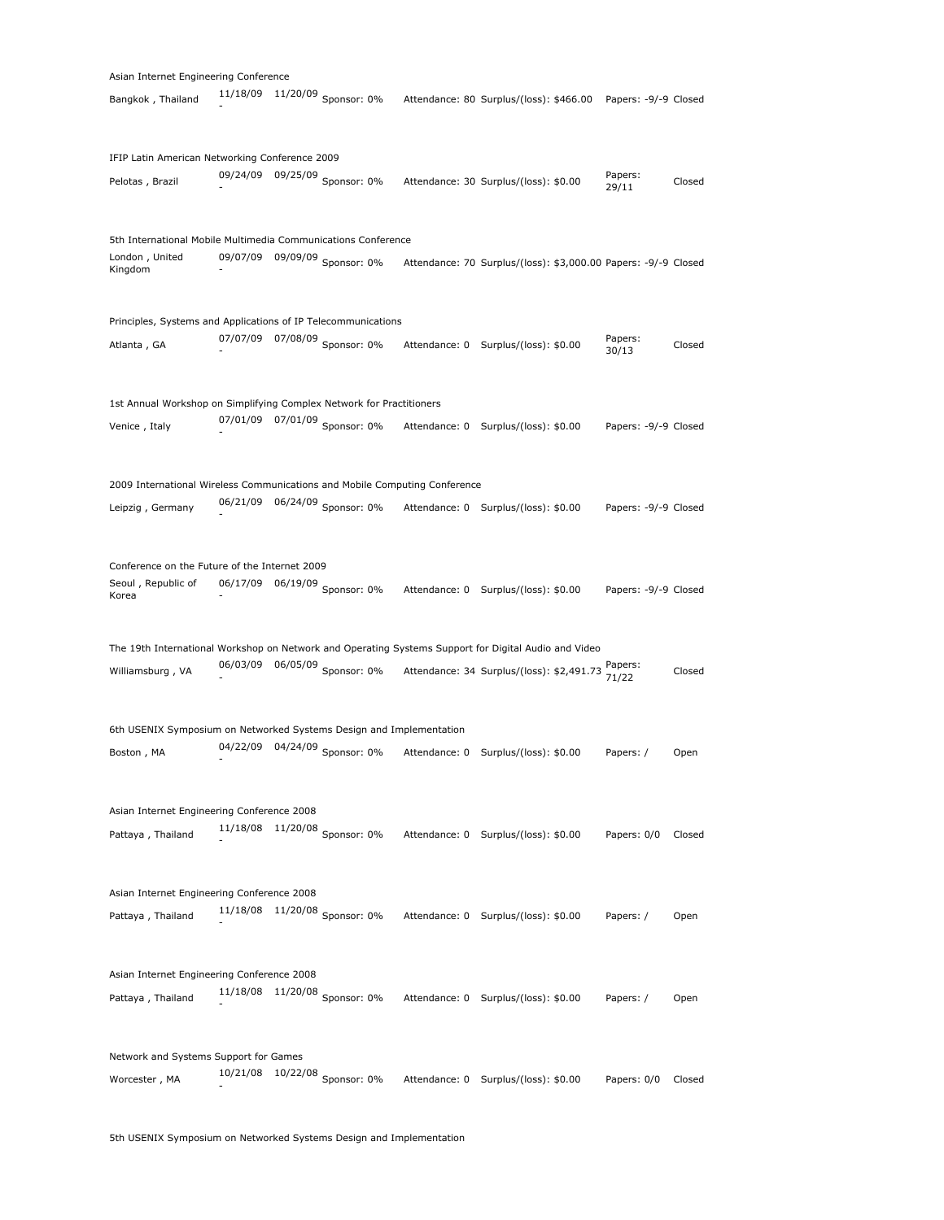|                                                                            | Asian Internet Engineering Conference |          |                               |               |                                                                                                      |                      |        |  |  |  |
|----------------------------------------------------------------------------|---------------------------------------|----------|-------------------------------|---------------|------------------------------------------------------------------------------------------------------|----------------------|--------|--|--|--|
| Bangkok, Thailand                                                          | 11/18/09                              |          | $11/20/09$ Sponsor: 0%        |               | Attendance: 80 Surplus/(loss): \$466.00                                                              | Papers: -9/-9 Closed |        |  |  |  |
| IFIP Latin American Networking Conference 2009                             |                                       |          |                               |               |                                                                                                      |                      |        |  |  |  |
| Pelotas, Brazil                                                            |                                       |          | 09/24/09 09/25/09 Sponsor: 0% |               | Attendance: 30 Surplus/(loss): \$0.00                                                                | Papers:<br>29/11     | Closed |  |  |  |
| 5th International Mobile Multimedia Communications Conference              |                                       |          |                               |               |                                                                                                      |                      |        |  |  |  |
| London, United<br>Kingdom                                                  | 09/07/09                              |          | 09/09/09 Sponsor: 0%          |               | Attendance: 70 Surplus/(loss): \$3,000.00 Papers: -9/-9 Closed                                       |                      |        |  |  |  |
| Principles, Systems and Applications of IP Telecommunications              |                                       |          |                               |               |                                                                                                      |                      |        |  |  |  |
| Atlanta, GA                                                                |                                       |          | 07/07/09 07/08/09 Sponsor: 0% |               | Attendance: 0 Surplus/(loss): \$0.00                                                                 | Papers:<br>30/13     | Closed |  |  |  |
| 1st Annual Workshop on Simplifying Complex Network for Practitioners       |                                       |          |                               |               |                                                                                                      |                      |        |  |  |  |
| Venice, Italy                                                              |                                       |          | 07/01/09 07/01/09 Sponsor: 0% |               | Attendance: 0 Surplus/(loss): \$0.00                                                                 | Papers: -9/-9 Closed |        |  |  |  |
| 2009 International Wireless Communications and Mobile Computing Conference |                                       |          |                               |               |                                                                                                      |                      |        |  |  |  |
| Leipzig, Germany                                                           |                                       |          | 06/21/09 06/24/09 Sponsor: 0% |               | Attendance: 0 Surplus/(loss): \$0.00                                                                 | Papers: -9/-9 Closed |        |  |  |  |
| Conference on the Future of the Internet 2009                              |                                       |          |                               |               |                                                                                                      |                      |        |  |  |  |
| Seoul, Republic of<br>Korea                                                |                                       |          | 06/17/09 06/19/09 Sponsor: 0% |               | Attendance: 0 Surplus/(loss): \$0.00                                                                 | Papers: -9/-9 Closed |        |  |  |  |
|                                                                            |                                       |          |                               |               | The 19th International Workshop on Network and Operating Systems Support for Digital Audio and Video |                      |        |  |  |  |
| Williamsburg, VA                                                           | 06/03/09                              |          | 06/05/09 Sponsor: 0%          |               | Attendance: 34 Surplus/(loss): \$2,491.73 Papers:                                                    |                      | Closed |  |  |  |
| 6th USENIX Symposium on Networked Systems Design and Implementation        |                                       |          |                               |               |                                                                                                      |                      |        |  |  |  |
| Boston, MA                                                                 |                                       |          | 04/22/09 04/24/09 Sponsor: 0% |               | Attendance: 0 Surplus/(loss): \$0.00                                                                 | Papers: /            | Open   |  |  |  |
| Asian Internet Engineering Conference 2008                                 |                                       |          |                               |               |                                                                                                      |                      |        |  |  |  |
| Pattaya, Thailand                                                          | 11/18/08                              | 11/20/08 | Sponsor: 0%                   |               | Attendance: 0 Surplus/(loss): \$0.00                                                                 | Papers: 0/0          | Closed |  |  |  |
|                                                                            |                                       |          |                               |               |                                                                                                      |                      |        |  |  |  |
| Asian Internet Engineering Conference 2008<br>Pattaya, Thailand            | 11/18/08                              |          | $11/20/08$ Sponsor: 0%        |               | Attendance: 0 Surplus/(loss): \$0.00                                                                 | Papers: /            | Open   |  |  |  |
|                                                                            |                                       |          |                               |               |                                                                                                      |                      |        |  |  |  |
| Asian Internet Engineering Conference 2008                                 |                                       |          |                               |               |                                                                                                      |                      |        |  |  |  |
| Pattaya, Thailand                                                          | 11/18/08                              |          | 11/20/08 Sponsor: 0%          |               | Attendance: 0 Surplus/(loss): \$0.00                                                                 | Papers: /            | Open   |  |  |  |
| Network and Systems Support for Games                                      |                                       |          |                               |               |                                                                                                      |                      |        |  |  |  |
| Worcester, MA                                                              | 10/21/08                              | 10/22/08 | Sponsor: 0%                   | Attendance: 0 | Surplus/(loss): \$0.00                                                                               | Papers: 0/0          | Closed |  |  |  |

5th USENIX Symposium on Networked Systems Design and Implementation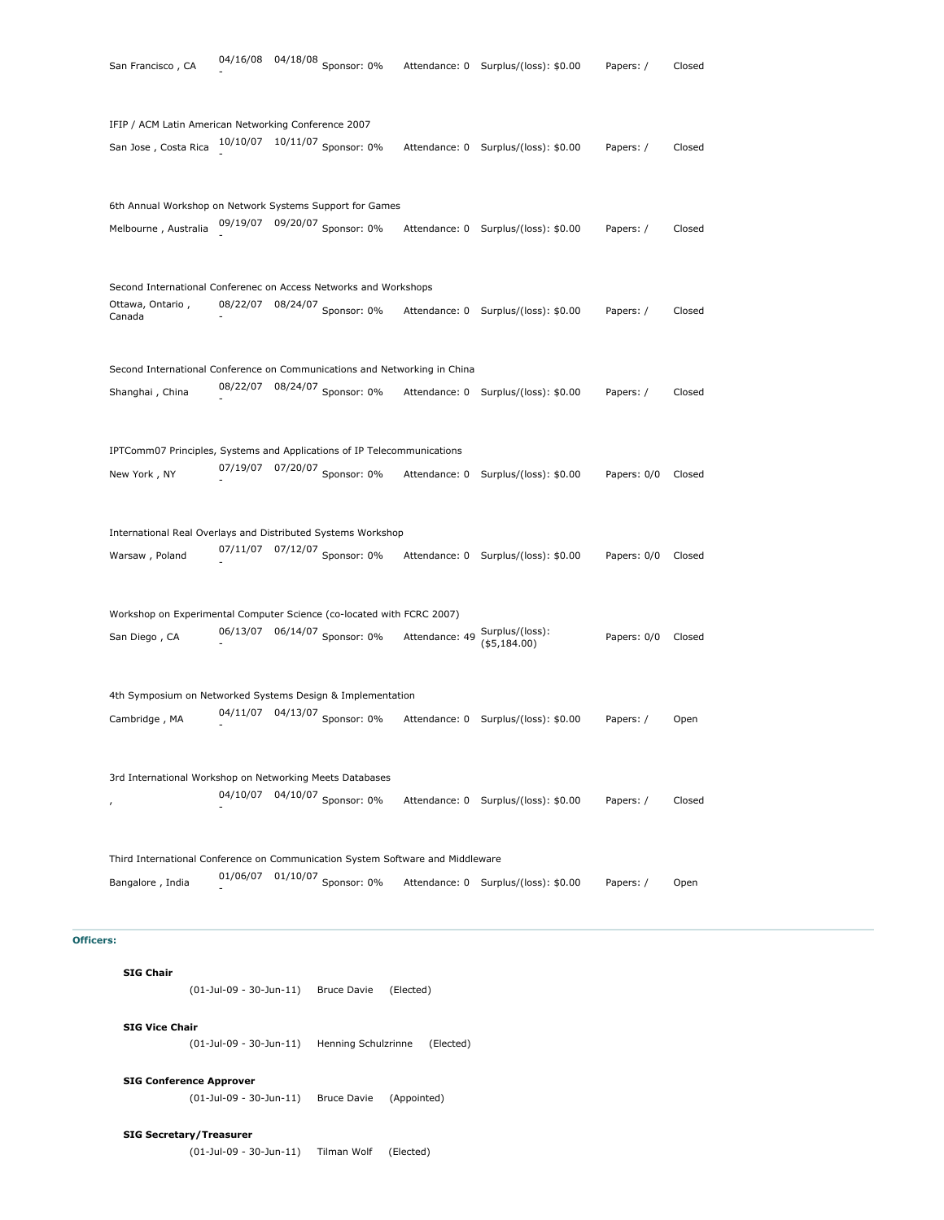| IFIP / ACM Latin American Networking Conference 2007                           |                            | 10/10/07  10/11/07  Sponsor: 0% |                                |                                      |             |        |
|--------------------------------------------------------------------------------|----------------------------|---------------------------------|--------------------------------|--------------------------------------|-------------|--------|
| San Jose, Costa Rica                                                           |                            |                                 |                                | Attendance: 0 Surplus/(loss): \$0.00 | Papers: /   | Closed |
| 6th Annual Workshop on Network Systems Support for Games                       |                            |                                 |                                |                                      |             |        |
| Melbourne, Australia                                                           |                            | 09/19/07 09/20/07 Sponsor: 0%   |                                | Attendance: 0 Surplus/(loss): \$0.00 | Papers: /   | Closed |
| Second International Conferenec on Access Networks and Workshops               |                            |                                 |                                |                                      |             |        |
| Ottawa, Ontario,<br>Canada                                                     |                            | 08/22/07 08/24/07 Sponsor: 0%   |                                | Attendance: 0 Surplus/(loss): \$0.00 | Papers: /   | Closed |
| Second International Conference on Communications and Networking in China      |                            |                                 |                                |                                      |             |        |
| Shanghai, China                                                                |                            | 08/22/07 08/24/07 Sponsor: 0%   |                                | Attendance: 0 Surplus/(loss): \$0.00 | Papers: /   | Closed |
| IPTComm07 Principles, Systems and Applications of IP Telecommunications        |                            |                                 |                                |                                      |             |        |
| New York, NY                                                                   |                            | 07/19/07 07/20/07 Sponsor: 0%   |                                | Attendance: 0 Surplus/(loss): \$0.00 | Papers: 0/0 | Closed |
| International Real Overlays and Distributed Systems Workshop                   |                            |                                 |                                |                                      |             |        |
| Warsaw, Poland                                                                 |                            | 07/11/07 07/12/07 Sponsor: 0%   |                                | Attendance: 0 Surplus/(loss): \$0.00 | Papers: 0/0 | Closed |
| Workshop on Experimental Computer Science (co-located with FCRC 2007)          |                            |                                 |                                |                                      |             |        |
| San Diego, CA                                                                  |                            | 06/13/07 06/14/07 Sponsor: 0%   | Attendance: 49 Surplus/(loss): | ( \$5,184.00)                        | Papers: 0/0 | Closed |
| 4th Symposium on Networked Systems Design & Implementation                     |                            |                                 |                                |                                      |             |        |
| Cambridge, MA                                                                  |                            | 04/11/07  04/13/07  Sponsor: 0% |                                | Attendance: 0 Surplus/(loss): \$0.00 | Papers: /   | Open   |
| 3rd International Workshop on Networking Meets Databases                       |                            |                                 |                                |                                      |             |        |
| $\mathbf{r}$                                                                   |                            | 04/10/07  04/10/07  Sponsor: 0% |                                | Attendance: 0 Surplus/(loss): \$0.00 | Papers: /   | Closed |
| Third International Conference on Communication System Software and Middleware |                            |                                 |                                |                                      |             |        |
| Bangalore, India                                                               |                            | 01/06/07 01/10/07 Sponsor: 0%   |                                | Attendance: 0 Surplus/(loss): \$0.00 | Papers: /   | Open   |
| <b>Officers:</b>                                                               |                            |                                 |                                |                                      |             |        |
| <b>SIG Chair</b>                                                               | $(01$ -Jul-09 - 30-Jun-11) | <b>Bruce Davie</b>              | (Elected)                      |                                      |             |        |
| <b>SIG Vice Chair</b>                                                          | $(01$ -Jul-09 - 30-Jun-11) | Henning Schulzrinne             | (Elected)                      |                                      |             |        |
|                                                                                |                            |                                 |                                |                                      |             |        |

- 04/18/08 Sponsor: 0% Attendance: 0 Surplus/(loss): \$0.00 Papers: / Closed

(01-Jul-09 - 30-Jun-11) Tilman Wolf (Elected)

**SIG Secretary/Treasurer**

San Francisco, CA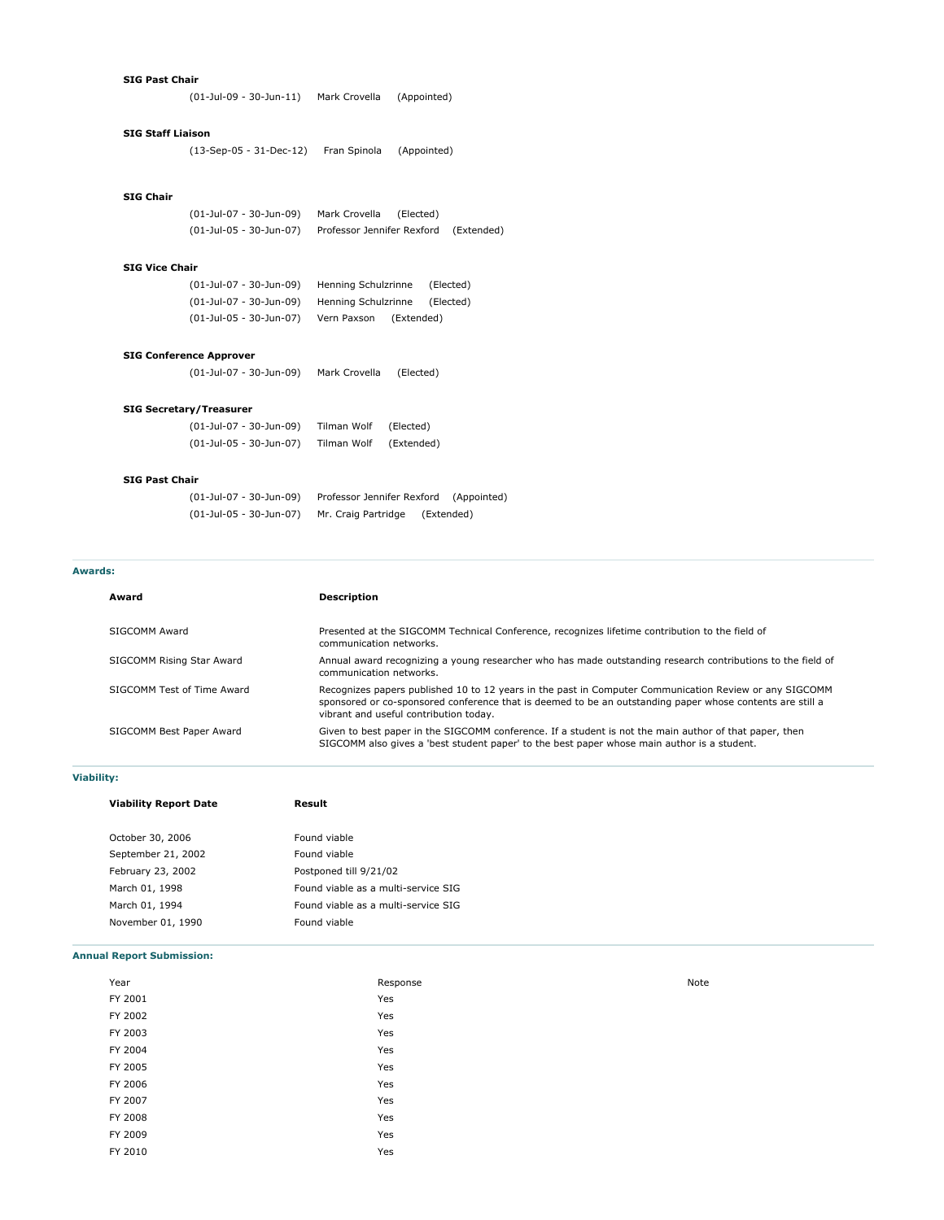#### **SIG Past Chair**

(01-Jul-09 - 30-Jun-11) Mark Crovella (Appointed)

# **SIG Staff Liaison**

(13-Sep-05 - 31-Dec-12) Fran Spinola (Appointed)

# **SIG Chair**

(01-Jul-07 - 30-Jun-09) Mark Crovella (Elected) (01-Jul-05 - 30-Jun-07) Professor Jennifer Rexford (Extended)

#### **SIG Vice Chair**

| (01-Jul-07 - 30-Jun-09) | Henning Schulzrinne |            | (Elected) |
|-------------------------|---------------------|------------|-----------|
| (01-Jul-07 - 30-Jun-09) | Henning Schulzrinne |            | (Elected) |
| (01-Jul-05 - 30-Jun-07) | Vern Paxson         | (Extended) |           |

# **SIG Conference Approver**

(01-Jul-07 - 30-Jun-09) Mark Crovella (Elected)

# **SIG Secretary/Treasurer**

| (01-Jul-07 - 30-Jun-09) | Tilman Wolf | (Elected)  |
|-------------------------|-------------|------------|
| (01-Jul-05 - 30-Jun-07) | Tilman Wolf | (Extended) |

## **SIG Past Chair**

| (01-Jul-07 - 30-Jun-09) | Professor Jennifer Rexford (Appointed) |            |
|-------------------------|----------------------------------------|------------|
| (01-Jul-05 - 30-Jun-07) | Mr. Craig Partridge                    | (Extended) |

# **Awards:**

# **Award Description** SIGCOMM Award Presented at the SIGCOMM Technical Conference, recognizes lifetime contribution to the field of communication networks. SIGCOMM Rising Star Award **Annual award recognizing a young researc**her who has made outstanding research contributions to the field of communication networks. SIGCOMM Test of Time Award Recognizes papers published 10 to 12 years in the past in Computer Communication Review or any SIGCOMM sponsored or co-sponsored conference that is deemed to be an outstanding paper whose contents are still a vibrant and useful contribution today. SIGCOMM Best Paper Award Given to best paper in the SIGCOMM conference. If a student is not the main author of that paper, then SIGCOMM also gives a 'best student paper' to the best paper whose main author is a student.

# **Viability:**

| <b>Viability Report Date</b> | Result                              |  |
|------------------------------|-------------------------------------|--|
| October 30, 2006             | Found viable                        |  |
| September 21, 2002           | Found viable                        |  |
| February 23, 2002            | Postponed till 9/21/02              |  |
| March 01, 1998               | Found viable as a multi-service SIG |  |
| March 01, 1994               | Found viable as a multi-service SIG |  |
| November 01, 1990            | Found viable                        |  |
|                              |                                     |  |

# **Annual Report Submission:**

| Year    | Response | Note |
|---------|----------|------|
| FY 2001 | Yes      |      |
| FY 2002 | Yes      |      |
| FY 2003 | Yes      |      |
| FY 2004 | Yes      |      |
| FY 2005 | Yes      |      |
| FY 2006 | Yes      |      |
| FY 2007 | Yes      |      |
| FY 2008 | Yes      |      |
| FY 2009 | Yes      |      |
| FY 2010 | Yes      |      |